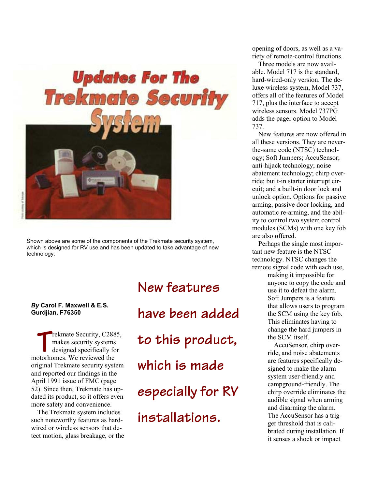

Shown above are some of the components of the Trekmate security system, which is designed for RV use and has been updated to take advantage of new technology.

*By* **Carol F. Maxwell & E.S. Gurdjian, F76350**

rekmate Security, C2885, makes security systems designed specifically for rekmate Security, C288<br>
makes security systems<br>
designed specifically for<br>
motorhomes. We reviewed the original Trekmate security system and reported our findings in the April 1991 issue of FMC (page 52). Since then, Trekmate has updated its product, so it offers even more safety and convenience.

The Trekmate system includes such noteworthy features as hardwired or wireless sensors that detect motion, glass breakage, or the **New features have been added to this product, which is made especially for RV installations.**

opening of doors, as well as a variety of remote-control functions.

Three models are now available. Model 717 is the standard, hard-wired-only version. The deluxe wireless system, Model 737, offers all of the features of Model 717, plus the interface to accept wireless sensors. Model 737PG adds the pager option to Model 737.

New features are now offered in all these versions. They are neverthe-same code (NTSC) technology; Soft Jumpers; AccuSensor; anti-hijack technology; noise abatement technology; chirp override; built-in starter interrupt circuit; and a built-in door lock and unlock option. Options for passive arming, passive door locking, and automatic re-arming, and the ability to control two system control modules (SCMs) with one key fob are also offered.

Perhaps the single most important new feature is the NTSC technology. NTSC changes the remote signal code with each use,

> making it impossible for anyone to copy the code and use it to defeat the alarm. Soft Jumpers is a feature that allows users to program the SCM using the key fob. This eliminates having to change the hard jumpers in the SCM itself.

AccuSensor, chirp override, and noise abatements are features specifically designed to make the alarm system user-friendly and campground-friendly. The chirp override eliminates the audible signal when arming and disarming the alarm. The AccuSensor has a trigger threshold that is calibrated during installation. If it senses a shock or impact